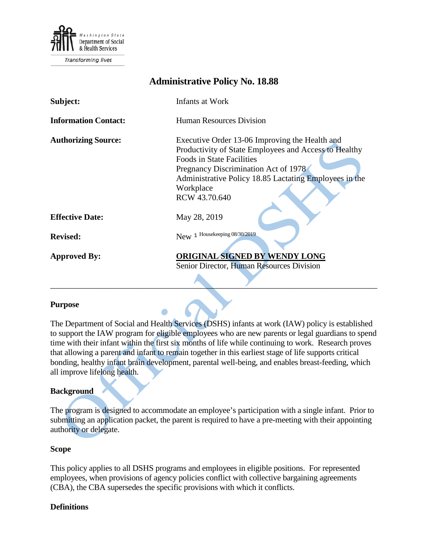

Transforming lives

# **Administrative Policy No. 18.88**

| Subject:                    | Infants at Work                                                                                                                                                                                                                                                             |
|-----------------------------|-----------------------------------------------------------------------------------------------------------------------------------------------------------------------------------------------------------------------------------------------------------------------------|
| <b>Information Contact:</b> | <b>Human Resources Division</b>                                                                                                                                                                                                                                             |
| <b>Authorizing Source:</b>  | Executive Order 13-06 Improving the Health and<br>Productivity of State Employees and Access to Healthy<br><b>Foods in State Facilities</b><br>Pregnancy Discrimination Act of 1978<br>Administrative Policy 18.85 Lactating Employees in the<br>Workplace<br>RCW 43.70.640 |
| <b>Effective Date:</b>      | May 28, 2019                                                                                                                                                                                                                                                                |
| <b>Revised:</b>             | New 1 Housekeeping 08/30/2019                                                                                                                                                                                                                                               |
| <b>Approved By:</b>         | ORIGINAL SIGNED BY WENDY LONG<br>Senior Director, Human Resources Division                                                                                                                                                                                                  |

## **Purpose**

The Department of Social and Health Services (DSHS) infants at work (IAW) policy is established to support the IAW program for eligible employees who are new parents or legal guardians to spend time with their infant within the first six months of life while continuing to work. Research proves that allowing a parent and infant to remain together in this earliest stage of life supports critical bonding, healthy infant brain development, parental well-being, and enables breast-feeding, which all improve lifelong health.

#### **Background**

The program is designed to accommodate an employee's participation with a single infant. Prior to submitting an application packet, the parent is required to have a pre-meeting with their appointing authority or delegate.

#### **Scope**

This policy applies to all DSHS programs and employees in eligible positions. For represented employees, when provisions of agency policies conflict with collective bargaining agreements (CBA), the CBA supersedes the specific provisions with which it conflicts.

### **Definitions**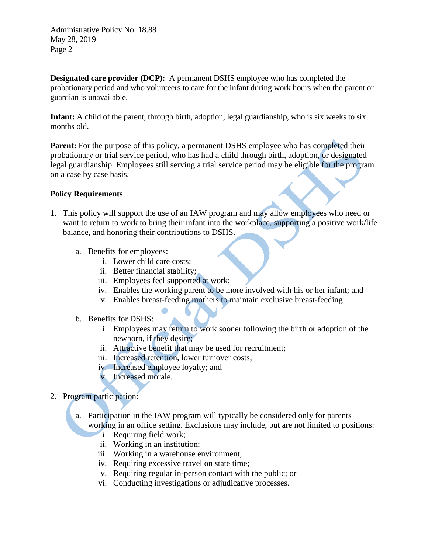Administrative Policy No. 18.88 May 28, 2019 Page 2

**Designated care provider (DCP):** A permanent DSHS employee who has completed the probationary period and who volunteers to care for the infant during work hours when the parent or guardian is unavailable.

**Infant:** A child of the parent, through birth, adoption, legal guardianship, who is six weeks to six months old.

**Parent:** For the purpose of this policy, a permanent DSHS employee who has completed their probationary or trial service period, who has had a child through birth, adoption, or designated legal guardianship. Employees still serving a trial service period may be eligible for the program on a case by case basis.

## **Policy Requirements**

- 1. This policy will support the use of an IAW program and may allow employees who need or want to return to work to bring their infant into the workplace, supporting a positive work/life balance, and honoring their contributions to DSHS.
	- a. Benefits for employees:
		- i. Lower child care costs;
		- ii. Better financial stability;
		- iii. Employees feel supported at work;
		- iv. Enables the working parent to be more involved with his or her infant; and
		- v. Enables breast-feeding mothers to maintain exclusive breast-feeding.
	- b. Benefits for DSHS:
		- i. Employees may return to work sooner following the birth or adoption of the newborn, if they desire;
		- ii. Attractive benefit that may be used for recruitment;
		- iii. Increased retention, lower turnover costs;
		- iv. Increased employee loyalty; and
		- v. Increased morale.
- 2. Program participation:
	- a. Participation in the IAW program will typically be considered only for parents working in an office setting. Exclusions may include, but are not limited to positions:
		- i. Requiring field work;
		- ii. Working in an institution;
		- iii. Working in a warehouse environment;
		- iv. Requiring excessive travel on state time;
		- v. Requiring regular in-person contact with the public; or
		- vi. Conducting investigations or adjudicative processes.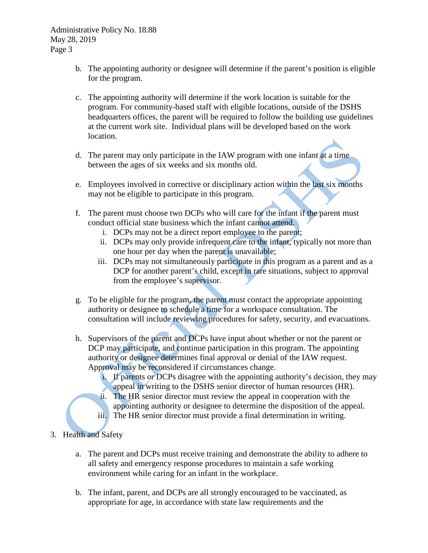- b. The appointing authority or designee will determine if the parent's position is eligible for the program.
- c. The appointing authority will determine if the work location is suitable for the program. For community-based staff with eligible locations, outside of the DSHS headquarters offices, the parent will be required to follow the building use guidelines at the current work site. Individual plans will be developed based on the work location.
- d. The parent may only participate in the IAW program with one infant at a time between the ages of six weeks and six months old.
- e. Employees involved in corrective or disciplinary action within the last six months may not be eligible to participate in this program.
- f. The parent must choose two DCPs who will care for the infant if the parent must conduct official state business which the infant cannot attend.
	- i. DCPs may not be a direct report employee to the parent;
	- ii. DCPs may only provide infrequent care to the infant, typically not more than one hour per day when the parent is unavailable;
	- iii. DCPs may not simultaneously participate in this program as a parent and as a DCP for another parent's child, except in rare situations, subject to approval from the employee's supervisor.
- g. To be eligible for the program, the parent must contact the appropriate appointing authority or designee to schedule a time for a workspace consultation. The consultation will include reviewing procedures for safety, security, and evacuations.
- h. Supervisors of the parent and DCPs have input about whether or not the parent or DCP may participate, and continue participation in this program. The appointing authority or designee determines final approval or denial of the IAW request. Approval may be reconsidered if circumstances change.
	- i. If parents or DCPs disagree with the appointing authority's decision, they may appeal in writing to the DSHS senior director of human resources (HR).
	- ii. The HR senior director must review the appeal in cooperation with the appointing authority or designee to determine the disposition of the appeal. iii. The HR senior director must provide a final determination in writing.
- 3. Health and Safety
	- a. The parent and DCPs must receive training and demonstrate the ability to adhere to all safety and emergency response procedures to maintain a safe working environment while caring for an infant in the workplace.
	- b. The infant, parent, and DCPs are all strongly encouraged to be vaccinated, as appropriate for age, in accordance with state law requirements and the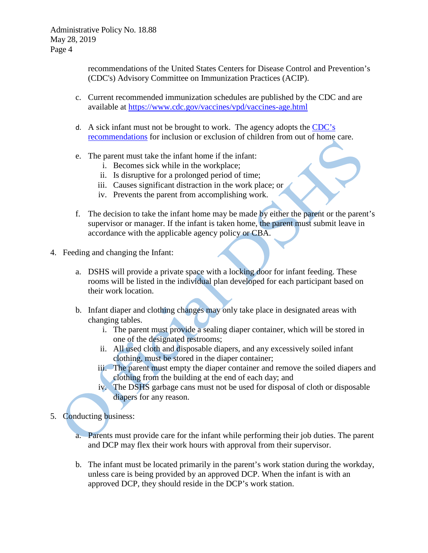Administrative Policy No. 18.88 May 28, 2019 Page 4

> recommendations of the United States Centers for Disease Control and Prevention's (CDC's) Advisory Committee on Immunization Practices (ACIP).

- c. Current recommended immunization schedules are published by the CDC and are available at<https://www.cdc.gov/vaccines/vpd/vaccines-age.html>
- d. A sick infant must not be brought to work. The agency adopts the [CDC's](https://dchealth.dc.gov/sites/default/files/dc/sites/doh/publication/attachments/Recommendations%20for%20Inclusion%20or%20Exclusion%20CDC.pdf)  [recommendations](https://dchealth.dc.gov/sites/default/files/dc/sites/doh/publication/attachments/Recommendations%20for%20Inclusion%20or%20Exclusion%20CDC.pdf) for inclusion or exclusion of children from out of home care.
- e. The parent must take the infant home if the infant:
	- i. Becomes sick while in the workplace;
	- ii. Is disruptive for a prolonged period of time;
	- iii. Causes significant distraction in the work place; or
	- iv. Prevents the parent from accomplishing work.
- f. The decision to take the infant home may be made by either the parent or the parent's supervisor or manager. If the infant is taken home, the parent must submit leave in accordance with the applicable agency policy or CBA.
- 4. Feeding and changing the Infant:
	- a. DSHS will provide a private space with a locking door for infant feeding. These rooms will be listed in the individual plan developed for each participant based on their work location.
	- b. Infant diaper and clothing changes may only take place in designated areas with changing tables.
		- i. The parent must provide a sealing diaper container, which will be stored in one of the designated restrooms;
		- ii. All used cloth and disposable diapers, and any excessively soiled infant clothing, must be stored in the diaper container;
		- iii. The parent must empty the diaper container and remove the soiled diapers and clothing from the building at the end of each day; and
		- iv. The DSHS garbage cans must not be used for disposal of cloth or disposable diapers for any reason.
- 5. Conducting business:
	- a. Parents must provide care for the infant while performing their job duties. The parent and DCP may flex their work hours with approval from their supervisor.
	- b. The infant must be located primarily in the parent's work station during the workday, unless care is being provided by an approved DCP. When the infant is with an approved DCP, they should reside in the DCP's work station.